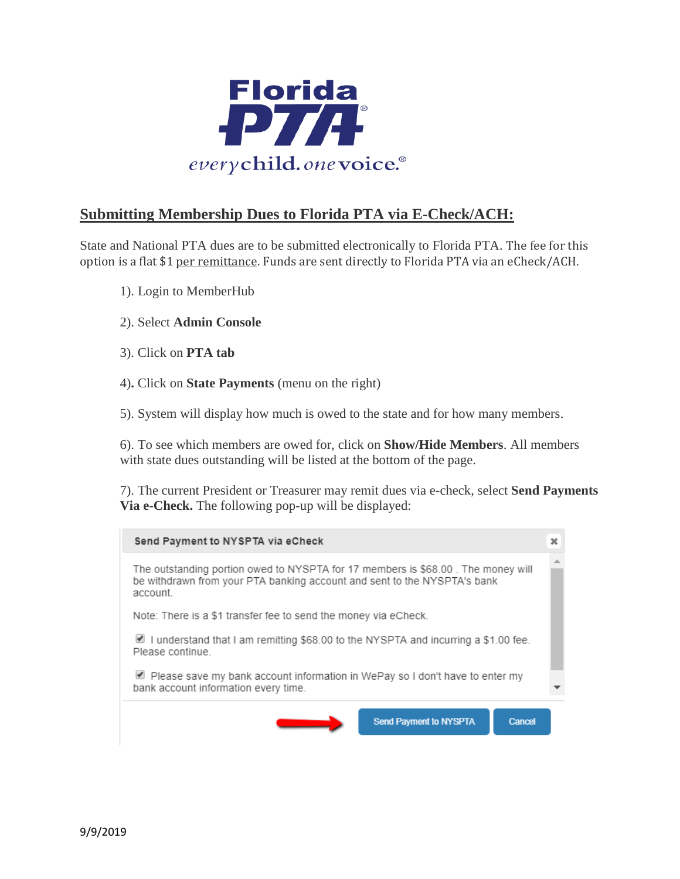

## **Submitting Membership Dues to Florida PTA via E-Check/ACH:**

State and National PTA dues are to be submitted electronically to Florida PTA. The fee for this option is a flat \$1 per remittance. Funds are sent directly to Florida PTA via an eCheck/ACH.

- 1). Login to MemberHub
- 2). Select **Admin Console**
- 3). Click on **PTA tab**
- 4)**.** Click on **State Payments** (menu on the right)

5). System will display how much is owed to the state and for how many members.

6). To see which members are owed for, click on **Show/Hide Members**. All members with state dues outstanding will be listed at the bottom of the page.

7). The current President or Treasurer may remit dues via e-check, select **Send Payments Via e-Check.** The following pop-up will be displayed:

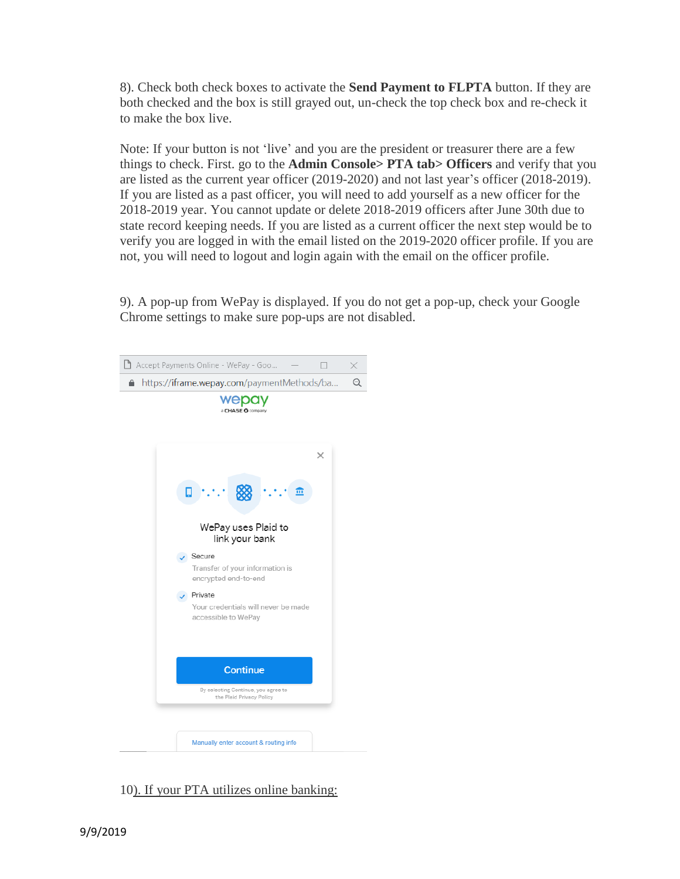8). Check both check boxes to activate the **Send Payment to FLPTA** button. If they are both checked and the box is still grayed out, un-check the top check box and re-check it to make the box live.

Note: If your button is not 'live' and you are the president or treasurer there are a few things to check. First. go to the **Admin Console> PTA tab> Officers** and verify that you are listed as the current year officer (2019-2020) and not last year's officer (2018-2019). If you are listed as a past officer, you will need to add yourself as a new officer for the 2018-2019 year. You cannot update or delete 2018-2019 officers after June 30th due to state record keeping needs. If you are listed as a current officer the next step would be to verify you are logged in with the email listed on the 2019-2020 officer profile. If you are not, you will need to logout and login again with the email on the officer profile.

9). A pop-up from WePay is displayed. If you do not get a pop-up, check your Google Chrome settings to make sure pop-ups are not disabled.



10). If your PTA utilizes online banking: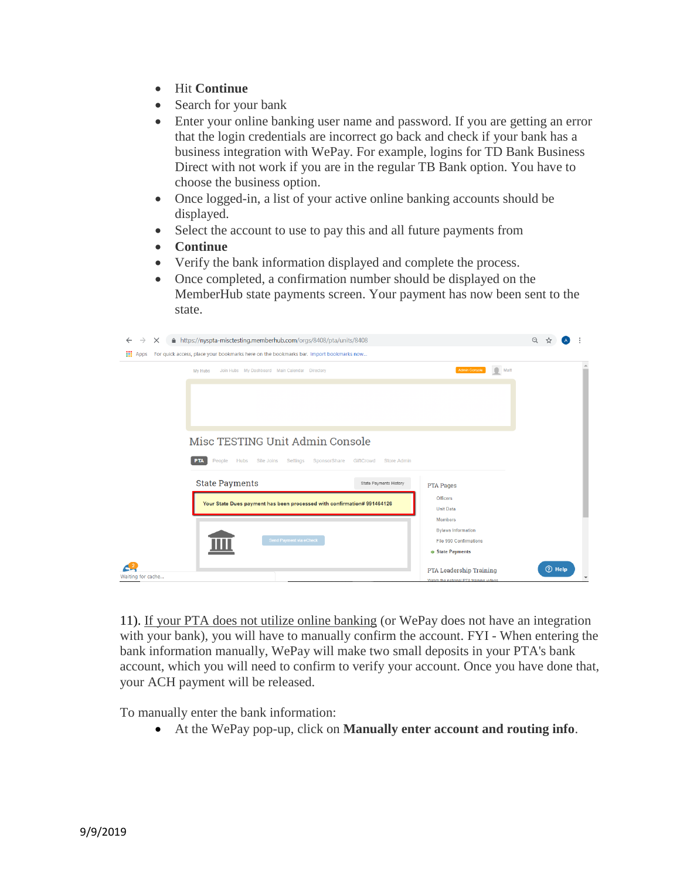- Hit **Continue**
- Search for your bank
- Enter your online banking user name and password. If you are getting an error that the login credentials are incorrect go back and check if your bank has a business integration with WePay. For example, logins for TD Bank Business Direct with not work if you are in the regular TB Bank option. You have to choose the business option.
- Once logged-in, a list of your active online banking accounts should be displayed.
- Select the account to use to pay this and all future payments from
- **Continue**
- Verify the bank information displayed and complete the process.
- Once completed, a confirmation number should be displayed on the MemberHub state payments screen. Your payment has now been sent to the state.

| $\times$<br>$\leftarrow$<br>$\rightarrow$ | △ https://nyspta-misctesting.memberhub.com/orgs/8408/pta/units/8408                    |                        |                                        |      | $\Theta$ |        |  |
|-------------------------------------------|----------------------------------------------------------------------------------------|------------------------|----------------------------------------|------|----------|--------|--|
| <b>III</b> Apps                           | For quick access, place your bookmarks here on the bookmarks bar. Import bookmarks now |                        |                                        |      |          |        |  |
|                                           | Join Hubs My Dashboard Main Calendar Directory<br>My Hubs                              |                        | Admin Console                          | Matt |          |        |  |
|                                           |                                                                                        |                        |                                        |      |          |        |  |
|                                           |                                                                                        |                        |                                        |      |          |        |  |
|                                           |                                                                                        |                        |                                        |      |          |        |  |
|                                           |                                                                                        |                        |                                        |      |          |        |  |
| Misc TESTING Unit Admin Console           |                                                                                        |                        |                                        |      |          |        |  |
|                                           | SponsorShare GiftCrowd<br><b>PTA</b><br>People<br>Site Joins Settings<br><b>Hubs</b>   | <b>Store Admin</b>     |                                        |      |          |        |  |
|                                           | <b>State Payments</b>                                                                  | State Payments History | <b>PTA Pages</b>                       |      |          |        |  |
|                                           | Your State Dues payment has been processed with confirmation# 991464126                | Officers               |                                        |      |          |        |  |
|                                           |                                                                                        |                        | <b>Unit Data</b><br><b>Members</b>     |      |          |        |  |
|                                           |                                                                                        |                        | <b>Bylaws Information</b>              |      |          |        |  |
|                                           | Send Payment via eCheck                                                                |                        | File 990 Confirmations                 |      |          |        |  |
|                                           |                                                                                        |                        | <b>State Payments</b>                  |      |          |        |  |
| Waiting for cache                         |                                                                                        |                        | PTA Leadership Training                |      |          | 7 Help |  |
|                                           |                                                                                        |                        | Watch the national PTA training videos |      |          |        |  |

11). If your PTA does not utilize online banking (or WePay does not have an integration with your bank), you will have to manually confirm the account. FYI - When entering the bank information manually, WePay will make two small deposits in your PTA's bank account, which you will need to confirm to verify your account. Once you have done that, your ACH payment will be released.

To manually enter the bank information:

At the WePay pop-up, click on **Manually enter account and routing info**.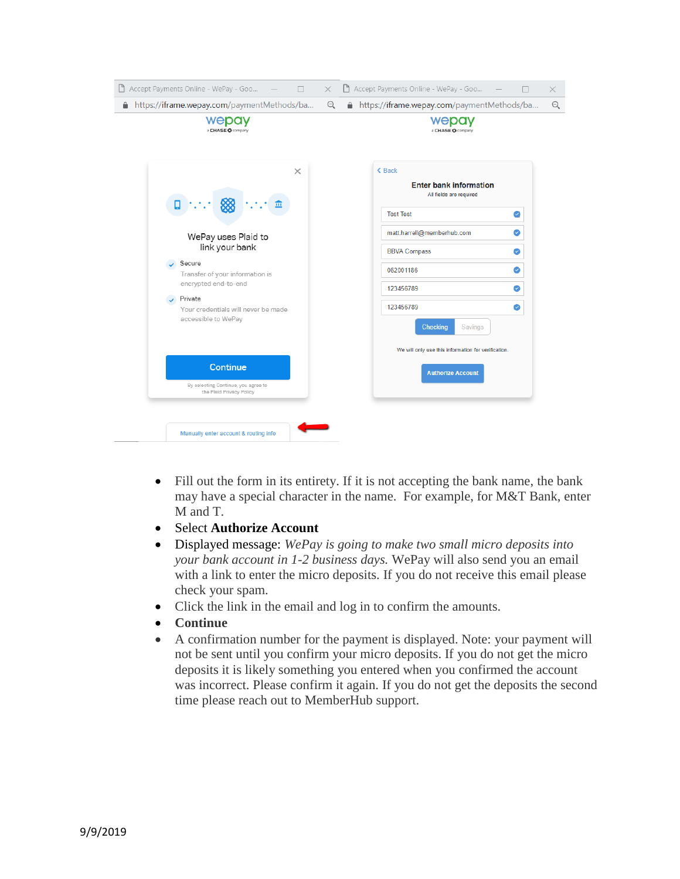

- Fill out the form in its entirety. If it is not accepting the bank name, the bank may have a special character in the name. For example, for M&T Bank, enter M and T.
- Select **Authorize Account**
- Displayed message: *WePay is going to make two small micro deposits into your bank account in 1-2 business days.* WePay will also send you an email with a link to enter the micro deposits. If you do not receive this email please check your spam.
- Click the link in the email and log in to confirm the amounts.
- **Continue**
- A confirmation number for the payment is displayed. Note: your payment will not be sent until you confirm your micro deposits. If you do not get the micro deposits it is likely something you entered when you confirmed the account was incorrect. Please confirm it again. If you do not get the deposits the second time please reach out to MemberHub support.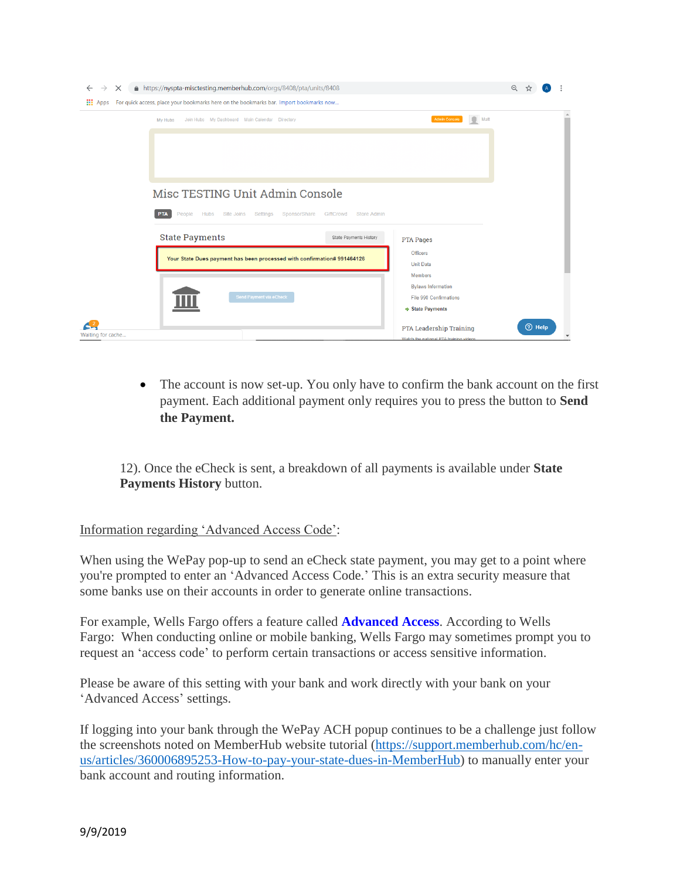| $\times$<br>$\rightarrow$<br>$\leftarrow$ | △ https://nyspta-misctesting.memberhub.com/orgs/8408/pta/units/8408                    |                                 |                                                                                                       | $\Theta$ |        |  |  |
|-------------------------------------------|----------------------------------------------------------------------------------------|---------------------------------|-------------------------------------------------------------------------------------------------------|----------|--------|--|--|
| m<br>Apps                                 | For quick access, place your bookmarks here on the bookmarks bar. Import bookmarks now |                                 |                                                                                                       |          |        |  |  |
|                                           | Join Hubs My Dashboard Main Calendar Directory<br>My Hubs                              |                                 | $\qquad \qquad \blacksquare$<br>Matt<br><b>Admin Console</b>                                          |          |        |  |  |
|                                           |                                                                                        |                                 |                                                                                                       |          |        |  |  |
|                                           |                                                                                        |                                 |                                                                                                       |          |        |  |  |
|                                           | Misc TESTING Unit Admin Console                                                        |                                 |                                                                                                       |          |        |  |  |
|                                           | People<br><b>PTA</b><br><b>Hubs</b><br>Site Joins<br>Settings<br>SponsorShare          | GiftCrowd<br><b>Store Admin</b> |                                                                                                       |          |        |  |  |
|                                           | <b>State Payments</b>                                                                  | State Payments History          | <b>PTA Pages</b>                                                                                      |          |        |  |  |
|                                           | Your State Dues payment has been processed with confirmation# 991464126                |                                 | Officers<br><b>Unit Data</b>                                                                          |          |        |  |  |
|                                           | Send Payment via eCheck                                                                |                                 | <b>Members</b><br><b>Bylaws Information</b><br><b>File 990 Confirmations</b><br><b>State Payments</b> |          |        |  |  |
| Waiting for cache                         |                                                                                        |                                 | <b>PTA Leadership Training</b><br>Watch the national PTA training videos                              |          | 7 Help |  |  |

• The account is now set-up. You only have to confirm the bank account on the first payment. Each additional payment only requires you to press the button to **Send the Payment.**

12). Once the eCheck is sent, a breakdown of all payments is available under **State Payments History** button.

## Information regarding 'Advanced Access Code':

When using the WePay pop-up to send an eCheck state payment, you may get to a point where you're prompted to enter an 'Advanced Access Code.' This is an extra security measure that some banks use on their accounts in order to generate online transactions.

For example, Wells Fargo offers a feature called **[Advanced Access](https://www.wellsfargo.com/privacy-security/advanced-access/)**. According to Wells Fargo: When conducting online or mobile banking, Wells Fargo may sometimes prompt you to request an 'access code' to perform certain transactions or access sensitive information.

Please be aware of this setting with your bank and work directly with your bank on your 'Advanced Access' settings.

If logging into your bank through the WePay ACH popup continues to be a challenge just follow the screenshots noted on MemberHub website tutorial [\(https://support.memberhub.com/hc/en](https://support.memberhub.com/hc/en-us/articles/360006895253-How-to-pay-your-state-dues-in-MemberHub)[us/articles/360006895253-How-to-pay-your-state-dues-in-MemberHub\)](https://support.memberhub.com/hc/en-us/articles/360006895253-How-to-pay-your-state-dues-in-MemberHub) to manually enter your bank account and routing information.